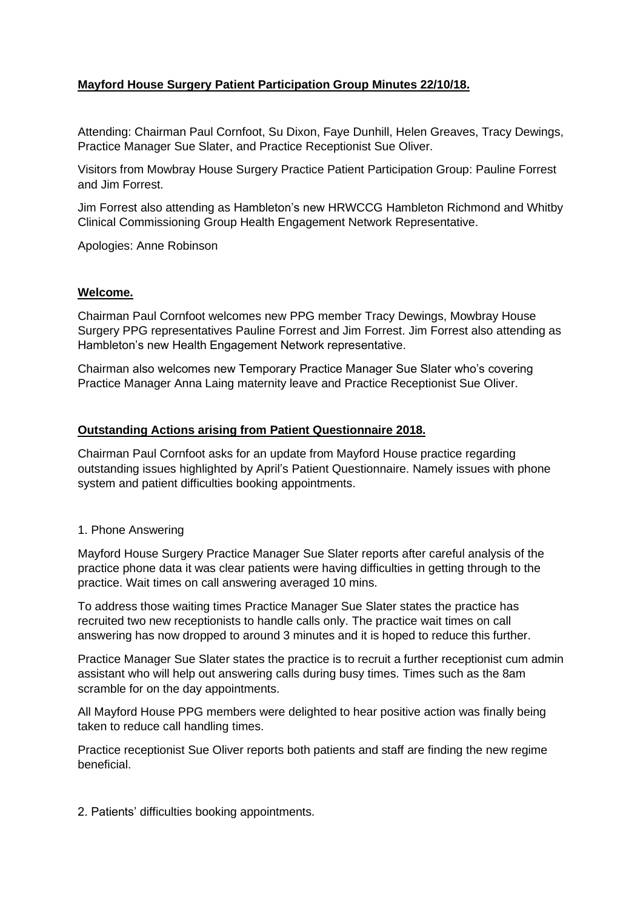# **Mayford House Surgery Patient Participation Group Minutes 22/10/18.**

Attending: Chairman Paul Cornfoot, Su Dixon, Faye Dunhill, Helen Greaves, Tracy Dewings, Practice Manager Sue Slater, and Practice Receptionist Sue Oliver.

Visitors from Mowbray House Surgery Practice Patient Participation Group: Pauline Forrest and Jim Forrest.

Jim Forrest also attending as Hambleton's new HRWCCG Hambleton Richmond and Whitby Clinical Commissioning Group Health Engagement Network Representative.

Apologies: Anne Robinson

## **Welcome.**

Chairman Paul Cornfoot welcomes new PPG member Tracy Dewings, Mowbray House Surgery PPG representatives Pauline Forrest and Jim Forrest. Jim Forrest also attending as Hambleton's new Health Engagement Network representative.

Chairman also welcomes new Temporary Practice Manager Sue Slater who's covering Practice Manager Anna Laing maternity leave and Practice Receptionist Sue Oliver.

## **Outstanding Actions arising from Patient Questionnaire 2018.**

Chairman Paul Cornfoot asks for an update from Mayford House practice regarding outstanding issues highlighted by April's Patient Questionnaire. Namely issues with phone system and patient difficulties booking appointments.

#### 1. Phone Answering

Mayford House Surgery Practice Manager Sue Slater reports after careful analysis of the practice phone data it was clear patients were having difficulties in getting through to the practice. Wait times on call answering averaged 10 mins.

To address those waiting times Practice Manager Sue Slater states the practice has recruited two new receptionists to handle calls only. The practice wait times on call answering has now dropped to around 3 minutes and it is hoped to reduce this further.

Practice Manager Sue Slater states the practice is to recruit a further receptionist cum admin assistant who will help out answering calls during busy times. Times such as the 8am scramble for on the day appointments.

All Mayford House PPG members were delighted to hear positive action was finally being taken to reduce call handling times.

Practice receptionist Sue Oliver reports both patients and staff are finding the new regime beneficial.

2. Patients' difficulties booking appointments.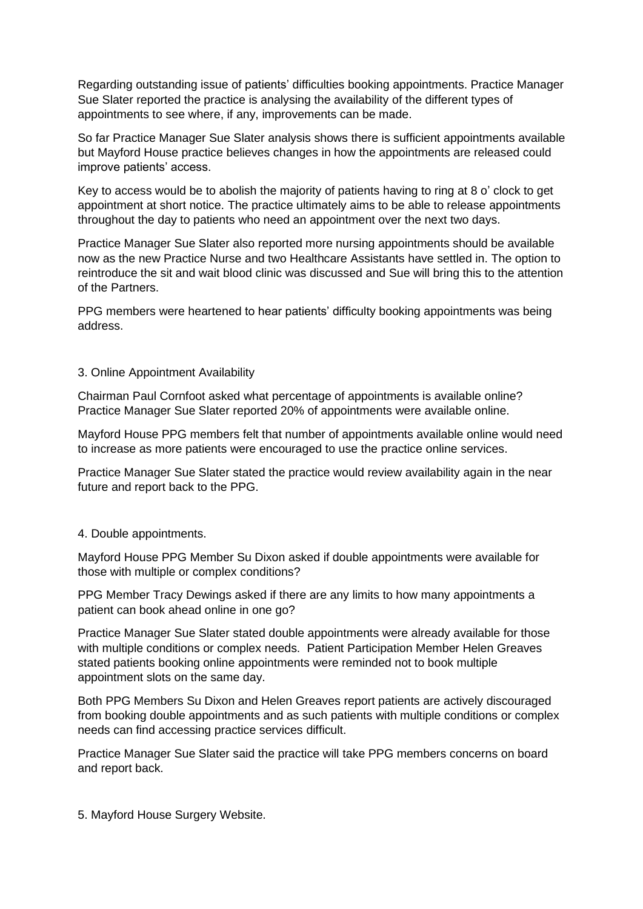Regarding outstanding issue of patients' difficulties booking appointments. Practice Manager Sue Slater reported the practice is analysing the availability of the different types of appointments to see where, if any, improvements can be made.

So far Practice Manager Sue Slater analysis shows there is sufficient appointments available but Mayford House practice believes changes in how the appointments are released could improve patients' access.

Key to access would be to abolish the majority of patients having to ring at 8 o' clock to get appointment at short notice. The practice ultimately aims to be able to release appointments throughout the day to patients who need an appointment over the next two days.

Practice Manager Sue Slater also reported more nursing appointments should be available now as the new Practice Nurse and two Healthcare Assistants have settled in. The option to reintroduce the sit and wait blood clinic was discussed and Sue will bring this to the attention of the Partners.

PPG members were heartened to hear patients' difficulty booking appointments was being address.

## 3. Online Appointment Availability

Chairman Paul Cornfoot asked what percentage of appointments is available online? Practice Manager Sue Slater reported 20% of appointments were available online.

Mayford House PPG members felt that number of appointments available online would need to increase as more patients were encouraged to use the practice online services.

Practice Manager Sue Slater stated the practice would review availability again in the near future and report back to the PPG.

# 4. Double appointments.

Mayford House PPG Member Su Dixon asked if double appointments were available for those with multiple or complex conditions?

PPG Member Tracy Dewings asked if there are any limits to how many appointments a patient can book ahead online in one go?

Practice Manager Sue Slater stated double appointments were already available for those with multiple conditions or complex needs. Patient Participation Member Helen Greaves stated patients booking online appointments were reminded not to book multiple appointment slots on the same day.

Both PPG Members Su Dixon and Helen Greaves report patients are actively discouraged from booking double appointments and as such patients with multiple conditions or complex needs can find accessing practice services difficult.

Practice Manager Sue Slater said the practice will take PPG members concerns on board and report back.

5. Mayford House Surgery Website.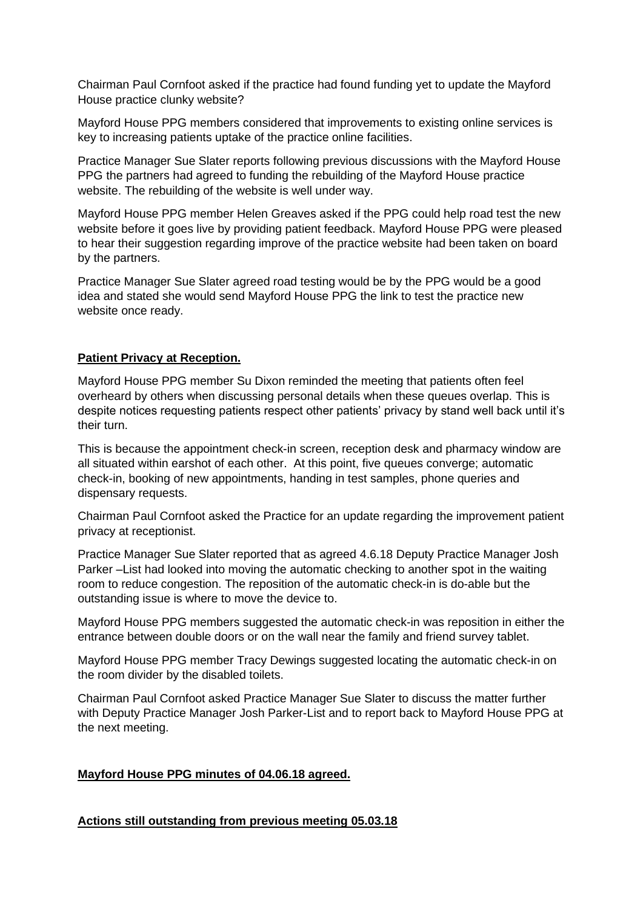Chairman Paul Cornfoot asked if the practice had found funding yet to update the Mayford House practice clunky website?

Mayford House PPG members considered that improvements to existing online services is key to increasing patients uptake of the practice online facilities.

Practice Manager Sue Slater reports following previous discussions with the Mayford House PPG the partners had agreed to funding the rebuilding of the Mayford House practice website. The rebuilding of the website is well under way.

Mayford House PPG member Helen Greaves asked if the PPG could help road test the new website before it goes live by providing patient feedback. Mayford House PPG were pleased to hear their suggestion regarding improve of the practice website had been taken on board by the partners.

Practice Manager Sue Slater agreed road testing would be by the PPG would be a good idea and stated she would send Mayford House PPG the link to test the practice new website once ready.

# **Patient Privacy at Reception.**

Mayford House PPG member Su Dixon reminded the meeting that patients often feel overheard by others when discussing personal details when these queues overlap. This is despite notices requesting patients respect other patients' privacy by stand well back until it's their turn.

This is because the appointment check-in screen, reception desk and pharmacy window are all situated within earshot of each other. At this point, five queues converge; automatic check-in, booking of new appointments, handing in test samples, phone queries and dispensary requests.

Chairman Paul Cornfoot asked the Practice for an update regarding the improvement patient privacy at receptionist.

Practice Manager Sue Slater reported that as agreed 4.6.18 Deputy Practice Manager Josh Parker –List had looked into moving the automatic checking to another spot in the waiting room to reduce congestion. The reposition of the automatic check-in is do-able but the outstanding issue is where to move the device to.

Mayford House PPG members suggested the automatic check-in was reposition in either the entrance between double doors or on the wall near the family and friend survey tablet.

Mayford House PPG member Tracy Dewings suggested locating the automatic check-in on the room divider by the disabled toilets.

Chairman Paul Cornfoot asked Practice Manager Sue Slater to discuss the matter further with Deputy Practice Manager Josh Parker-List and to report back to Mayford House PPG at the next meeting.

#### **Mayford House PPG minutes of 04.06.18 agreed.**

#### **Actions still outstanding from previous meeting 05.03.18**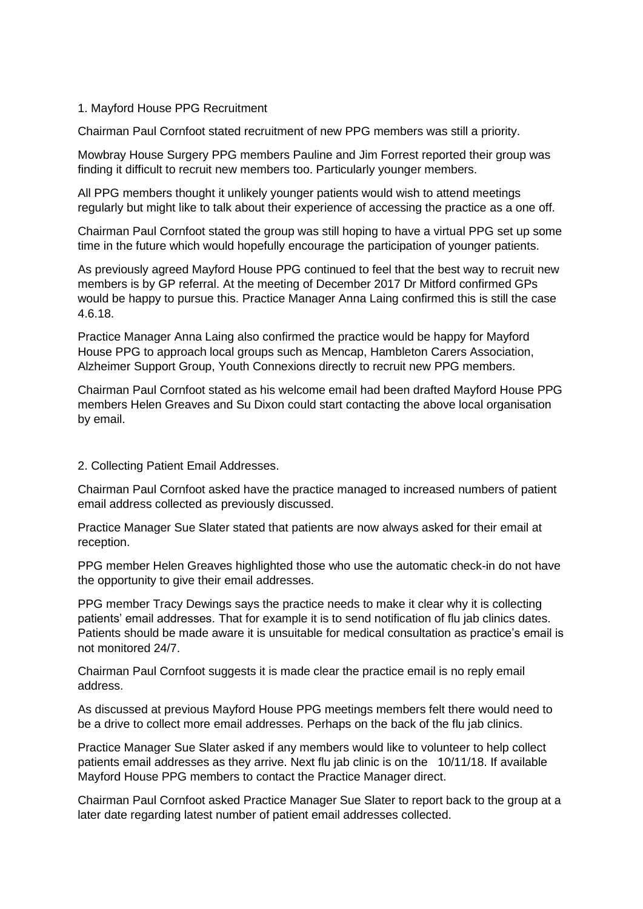## 1. Mayford House PPG Recruitment

Chairman Paul Cornfoot stated recruitment of new PPG members was still a priority.

Mowbray House Surgery PPG members Pauline and Jim Forrest reported their group was finding it difficult to recruit new members too. Particularly younger members.

All PPG members thought it unlikely younger patients would wish to attend meetings regularly but might like to talk about their experience of accessing the practice as a one off.

Chairman Paul Cornfoot stated the group was still hoping to have a virtual PPG set up some time in the future which would hopefully encourage the participation of younger patients.

As previously agreed Mayford House PPG continued to feel that the best way to recruit new members is by GP referral. At the meeting of December 2017 Dr Mitford confirmed GPs would be happy to pursue this. Practice Manager Anna Laing confirmed this is still the case 4.6.18.

Practice Manager Anna Laing also confirmed the practice would be happy for Mayford House PPG to approach local groups such as Mencap, Hambleton Carers Association, Alzheimer Support Group, Youth Connexions directly to recruit new PPG members.

Chairman Paul Cornfoot stated as his welcome email had been drafted Mayford House PPG members Helen Greaves and Su Dixon could start contacting the above local organisation by email.

#### 2. Collecting Patient Email Addresses.

Chairman Paul Cornfoot asked have the practice managed to increased numbers of patient email address collected as previously discussed.

Practice Manager Sue Slater stated that patients are now always asked for their email at reception.

PPG member Helen Greaves highlighted those who use the automatic check-in do not have the opportunity to give their email addresses.

PPG member Tracy Dewings says the practice needs to make it clear why it is collecting patients' email addresses. That for example it is to send notification of flu jab clinics dates. Patients should be made aware it is unsuitable for medical consultation as practice's email is not monitored 24/7.

Chairman Paul Cornfoot suggests it is made clear the practice email is no reply email address.

As discussed at previous Mayford House PPG meetings members felt there would need to be a drive to collect more email addresses. Perhaps on the back of the flu jab clinics.

Practice Manager Sue Slater asked if any members would like to volunteer to help collect patients email addresses as they arrive. Next flu jab clinic is on the 10/11/18. If available Mayford House PPG members to contact the Practice Manager direct.

Chairman Paul Cornfoot asked Practice Manager Sue Slater to report back to the group at a later date regarding latest number of patient email addresses collected.